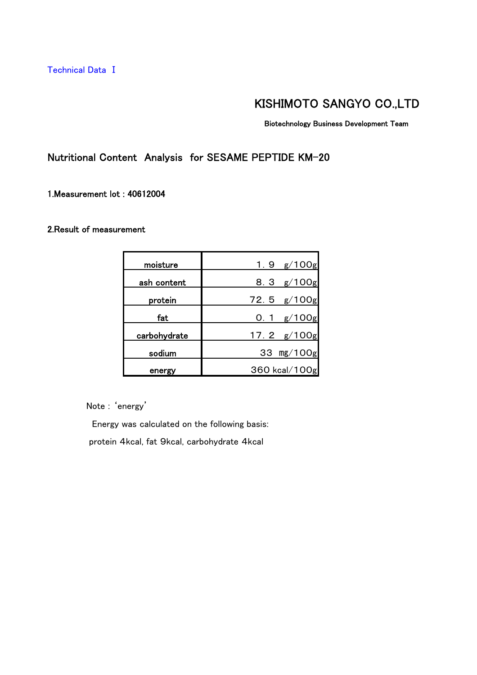Technical Data Ⅰ

## KISHIMOTO SANGYO CO.,LTD

Biotechnology Business Development Team

Nutritional Content Analysis for SESAME PEPTIDE KM-20

1.Measurement lot : 40612004

### 2.Result of measurement

| moisture     | 1. 9 $g/100g$ |
|--------------|---------------|
| ash content  | 8.3 $g/100g$  |
| protein      | 72.5 $g/100g$ |
| fat          | g/100g<br>0.1 |
| carbohydrate | 17.2 g/100g   |
| sodium       | 33 mg/100g    |
| energy       | 360 kcal/100g |

Note : 'energy'

Energy was calculated on the following basis:

protein 4kcal, fat 9kcal, carbohydrate 4kcal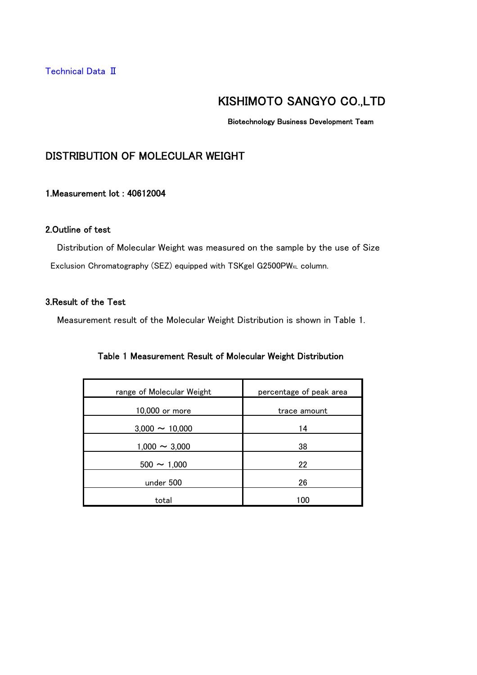Biotechnology Business Development Team

## DISTRIBUTION OF MOLECULAR WEIGHT

### 1.Measurement lot : 40612004

### 2.Outline of test

 Distribution of Molecular Weight was measured on the sample by the use of Size Exclusion Chromatography (SEZ) equipped with TSKgel G2500PW<sub>XL</sub> column.

### 3.Result of the Test

Measurement result of the Molecular Weight Distribution is shown in Table 1.

|  |  | Table 1 Measurement Result of Molecular Weight Distribution |  |  |  |  |  |
|--|--|-------------------------------------------------------------|--|--|--|--|--|
|--|--|-------------------------------------------------------------|--|--|--|--|--|

| range of Molecular Weight | percentage of peak area |
|---------------------------|-------------------------|
| 10,000 or more            | trace amount            |
| $3,000 \sim 10,000$       | 14                      |
| $1,000 \sim 3,000$        | 38                      |
| $500 \sim 1,000$          | 22                      |
| under 500                 | 26                      |
| total                     | 100                     |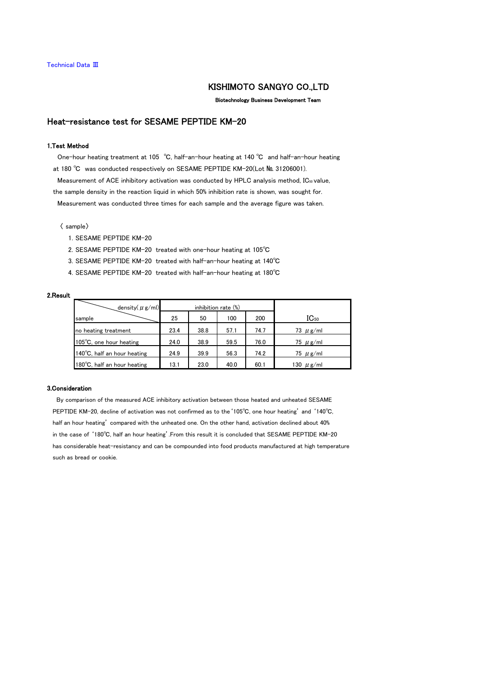Biotechnology Business Development Team

### Heat-resistance test for SESAME PEPTIDE KM-20

#### 1.Test Method

 One-hour heating treatment at 105 ℃, half-an-hour heating at 140 ℃ and half-an-hour heating at 180 ℃ was conducted respectively on SESAME PEPTIDE KM-20(Lot № 31206001). Measurement of ACE inhibitory activation was conducted by HPLC analysis method, IC50 value,

 the sample density in the reaction liquid in which 50% inhibition rate is shown, was sought for. Measurement was conducted three times for each sample and the average figure was taken.

〈 sample〉

- 1. SESAME PEPTIDE KM-20
- 2. SESAME PEPTIDE KM-20 treated with one-hour heating at 105℃
- 3. SESAME PEPTIDE KM-20 treated with half-an-hour heating at 140℃
- 4. SESAME PEPTIDE KM-20 treated with half-an-hour heating at 180℃

#### 2.Result

| density $(\mu$ g/ml)              | inhibition rate (%) |      |      |      |                |
|-----------------------------------|---------------------|------|------|------|----------------|
| sample                            | 25                  | 50   | 100  | 200  | $IC_{50}$      |
| no heating treatment              | 23.4                | 38.8 | 57.1 | 74.7 | 73 $\mu$ g/ml  |
| $105^{\circ}$ C, one hour heating | 24.0                | 38.9 | 59.5 | 76.0 | 75 $\mu$ g/ml  |
| 140°C, half an hour heating       | 24.9                | 39.9 | 56.3 | 74.2 | 75 $\mu$ g/ml  |
| 180°C, half an hour heating       | 13.1                | 23.0 | 40.0 | 60.1 | 130 $\mu$ g/ml |

#### 3.Consideration

 By comparison of the measured ACE inhibitory activation between those heated and unheated SESAME PEPTIDE KM-20, decline of activation was not confirmed as to the'105℃, one hour heating' and '140℃, half an hour heating' compared with the unheated one. On the other hand, activation declined about 40% in the case of '180℃, half an hour heating'.From this result it is concluded that SESAME PEPTIDE KM-20 has considerable heat-resistancy and can be compounded into food products manufactured at high temperature such as bread or cookie.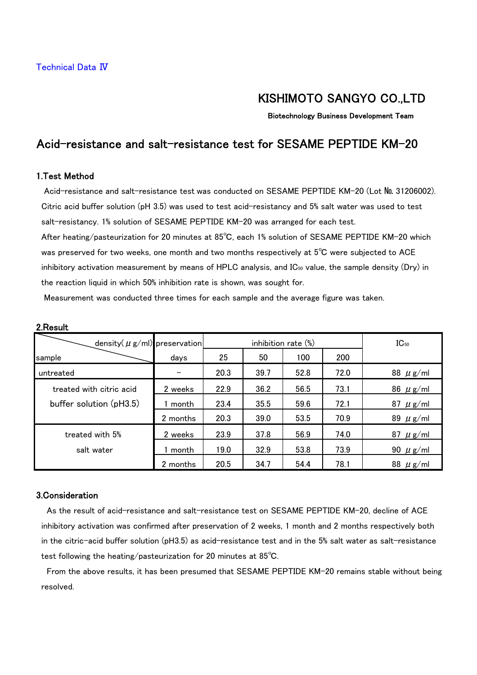Biotechnology Business Development Team

### Acid-resistance and salt-resistance test for SESAME PEPTIDE KM-20

### 1.Test Method

 Acid-resistance and salt-resistance test was conducted on SESAME PEPTIDE KM-20 (Lot № 31206002). Citric acid buffer solution (pH 3.5) was used to test acid-resistancy and 5% salt water was used to test salt-resistancy. 1% solution of SESAME PEPTIDE KM-20 was arranged for each test.

 After heating/pasteurization for 20 minutes at 85℃, each 1% solution of SESAME PEPTIDE KM-20 which was preserved for two weeks, one month and two months respectively at  $5^{\circ}$ C were subjected to ACE inhibitory activation measurement by means of HPLC analysis, and IC50 value, the sample density (Dry) in the reaction liquid in which 50% inhibition rate is shown, was sought for.

Measurement was conducted three times for each sample and the average figure was taken.

| density( $\mu$ g/ml) preservation |          | inhibition rate $(\%)$ |      |      |      | $IC_{50}$     |
|-----------------------------------|----------|------------------------|------|------|------|---------------|
| sample                            | days     | 25                     | 50   | 100  | 200  |               |
| untreated                         |          | 20.3                   | 39.7 | 52.8 | 72.0 | 88 $\mu$ g/ml |
| treated with citric acid          | 2 weeks  | 22.9                   | 36.2 | 56.5 | 73.1 | 86 $\mu$ g/ml |
| buffer solution (pH3.5)           | month    | 23.4                   | 35.5 | 59.6 | 72.1 | 87 $\mu$ g/ml |
|                                   | 2 months | 20.3                   | 39.0 | 53.5 | 70.9 | 89 $\mu$ g/ml |
| treated with 5%                   | 2 weeks  | 23.9                   | 37.8 | 56.9 | 74.0 | 87 $\mu$ g/ml |
| salt water                        | month    | 19.0                   | 32.9 | 53.8 | 73.9 | 90 $\mu$ g/ml |
|                                   | 2 months | 20.5                   | 34.7 | 54.4 | 78.1 | 88 $\mu$ g/ml |

#### 2.Result

#### 3.Consideration

 As the result of acid-resistance and salt-resistance test on SESAME PEPTIDE KM-20, decline of ACE inhibitory activation was confirmed after preservation of 2 weeks, 1 month and 2 months respectively both in the citric-acid buffer solution (pH3.5) as acid-resistance test and in the 5% salt water as salt-resistance test following the heating/pasteurization for 20 minutes at 85℃.

 From the above results, it has been presumed that SESAME PEPTIDE KM-20 remains stable without being resolved.